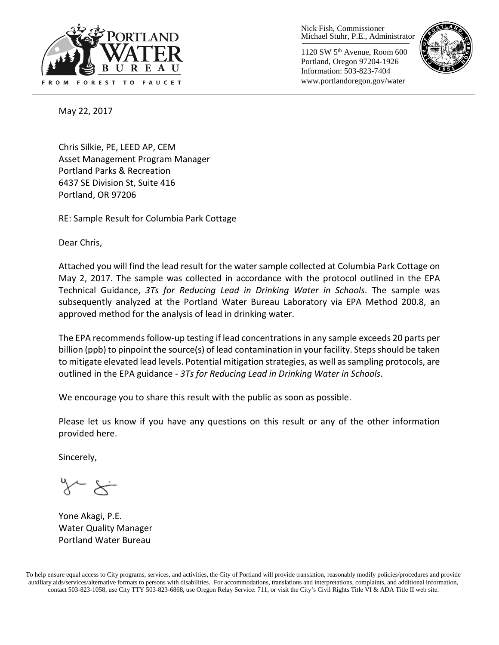

Nick Fish, Commissioner Michael Stuhr, P.E., Administrator

1120 SW 5th Avenue, Room 600 Portland, Oregon 97204-1926 Information: 503-823-7404 www.portlandoregon.gov/water



May 22, 2017

Chris Silkie, PE, LEED AP, CEM Asset Management Program Manager Portland Parks & Recreation 6437 SE Division St, Suite 416 Portland, OR 97206

RE: Sample Result for Columbia Park Cottage

Dear Chris,

Attached you will find the lead result for the water sample collected at Columbia Park Cottage on May 2, 2017. The sample was collected in accordance with the protocol outlined in the EPA Technical Guidance, *3Ts for Reducing Lead in Drinking Water in Schools*. The sample was subsequently analyzed at the Portland Water Bureau Laboratory via EPA Method 200.8, an approved method for the analysis of lead in drinking water.

The EPA recommends follow-up testing if lead concentrations in any sample exceeds 20 parts per billion (ppb) to pinpoint the source(s) of lead contamination in your facility. Steps should be taken to mitigate elevated lead levels. Potential mitigation strategies, as well as sampling protocols, are outlined in the EPA guidance - *3Ts for Reducing Lead in Drinking Water in Schools*.

We encourage you to share this result with the public as soon as possible.

Please let us know if you have any questions on this result or any of the other information provided here.

Sincerely,

Yone Akagi, P.E. Water Quality Manager Portland Water Bureau

To help ensure equal access to City programs, services, and activities, the City of Portland will provide translation, reasonably modify policies/procedures and provide auxiliary aids/services/alternative formats to persons with disabilities. For accommodations, translations and interpretations, complaints, and additional information, contact 503-823-1058, use City TTY 503-823-6868, use Oregon Relay Service: 711, or visi[t the City's Civil Rights Title VI & ADA Title II web site.](http://www.portlandoregon.gov/oehr/66458)